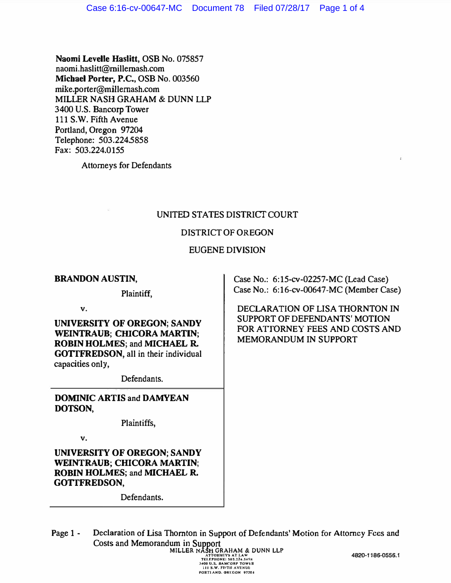Naomi Levelle Haslitt, OSB No. 075857 naomi.haslitt@millemash.com Michael Porter, P.C., OSB No. 003560 mike.porter@millemash.com MILLER NASH GRAHAM & DUNN LLP 3400 U.S. Bancorp Tower 111 S.W. Fifth Avenue Portland, Oregon 97204 Telephone: 503.224.5858 Fax: 503.224.0155

Attorneys for Defendants

# UNITED STATES DISTRICT COURT

# DISTRICT OF OREGON

### EUGENE DIVISION

### BRANDON AUSTIN,

Plaintiff,

v.

UNIVERSITY OF OREGON; SANDY WEINTRAUB: CHICORA MARTIN: ROBIN HOLMES; and MICHAEL R. GOTTFREDSON, all in their individual capacities only,

Defendants.

DOMINIC ARTIS and DAMYEAN DOTSON,

Plaintiffs,

v.

UNIVERSITY OF OREGON; SANDY WEINTRAUB; CHICORA MARTIN; ROBIN HOLMES; and MICHAEL R. GOTTFREDSON,

Defendants.

Case No.: 6:15-cv-02257-MC (Lead Case) Case No.: 6:16-cv-00647-MC (Member Case)

DECLARATION OF LISA THORNTON IN SUPPORT OF DEFENDANTS' MOTION FOR ATTORNEY FEES AND COSTS AND MEMORANDUM IN SUPPORT

Page 1 - Declaration of Lisa Thornton in Support of Defendants' Motion for Attorney Fees and Costs and Memorandum in Support<br>
MILLER NASH GRAHAM & DUNN LLP<br>
ATTORLIFY AT I.AW<br>
TELEPRIONE: SOL.224.SKS<br>
THE SOL. BANCORP TOWER<br>
THE SOL. BANCORP TOWER<br>
PORTLAND. ORFOR 97204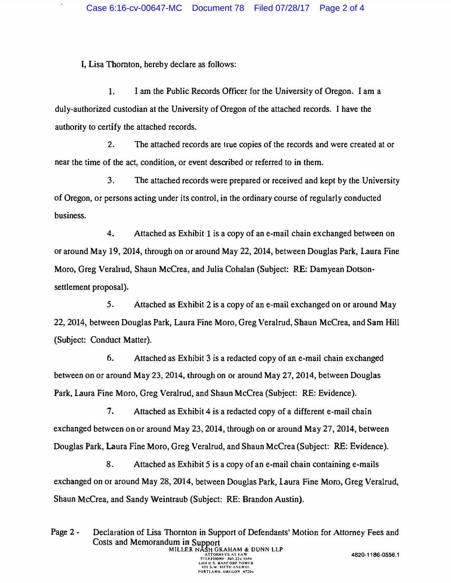I, Lisa Thornton, hereby declare as follows:

1. I am the Public Records Officer for the University of Oregon. I am a duly-authorized custodian at the University of Oregon of the attached records. I have the authority to certify the attached records.

2. The attached records are true copies of the records and were created at or near the time of the act, condition, or event described or referred to in them.

3.. The attached records were prepared or received and kept by the University of Oregon, or persons acting under its control, in the ordinary course of regularly conducted business.

4. Attached as Exhibit 1 is a copy of an e-mail chain exchanged between on or around May 19, 2014, through on or around May 22, 2014, between Douglas Park, Laura Fine Moro, Greg Veralrud, Shaun McCrea, and Julia Cohalan (Subject: RE: Damyean Dotsonsettlement proposal).

5. Attached as Exhibit 2 is a copy of an e-mail exchanged on or around May 22, 2014, between Douglas Park, Laura Fine Moro, Greg Veralrud, Shaun McCrea, and Sam Hill (Subject: Conduct Matter).

6. Attached as Exhibit 3 is a redacted copy of an e-mail chain exchanged between on or around May 23, 2014, through on or around May 27, 2014, between Douglas Park, Laura Fine Moro, Greg Veralrud, and Shaun McCrea (Subject: RE: Evidence).

7. Attached as Exhibit 4 is a redacted copy of a different e-mail chain exchanged between on or around May 23, 2014, through on or around May 27, 2014, between Douglas Park, Laura Fine Moro, Greg Veralrud, and Shaun McCrea (Subject: RE: Evidence).

8. Attached as Exhibit 5 is a copy of an e-mail chain containing e-mails exchanged on or around May 28, 2014, between Douglas Park, Laura Fine Moro, Greg Veralrud, Shaun McCrea, and Sandy Weintraub (Subject: RE: Brandon Austin).

Page 2 - Declaration of Lisa Thornton in Support of Defendants' Motion for Attorney Fees and Costs and Memorandum in Support<br>MILLER NASH GRAHAM & DUNN LLP ATTORNEYS AT LAW<br>TELEPHONE: 503.224.8858<br>3.00 U.S. BANCORP TOWER<br>111 S.W. FIFTIL AVENUE<br>PORTLAND. OREGON 97204 4820-1186-0556.1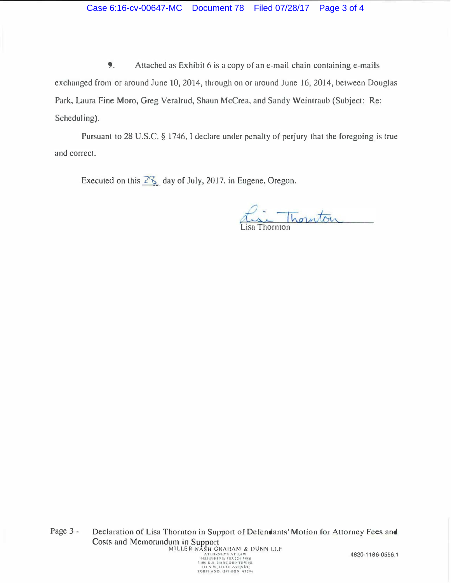#### Case 6:16-cv-00647-MC Document 78 Filed 07/28/17 Page 3 of 4

9. Attached as Exhibit 6 is a copy of an e-mail chain containing e-mails exchanged from or around June 10, 2014, through on or around June 16, 2014, between Douglas Park, Laura Fine Moro, Greg Veralrud, Shaun McCrea, and Sandy Weintraub (Subject: Re: Scheduling).

Pursuant to 28 U.S.C. § 1746, I declare under penalty of perjury that the foregoing is true and correct.

Executed on this  $28$  day of July, 2017, in Eugene, Oregon.

hanton Lisa Thornton